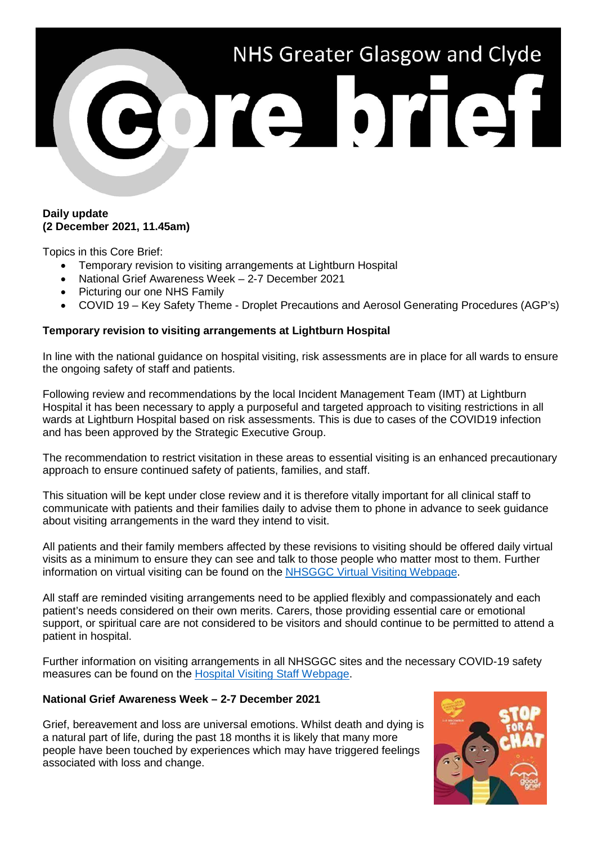

# **Daily update (2 December 2021, 11.45am)**

Topics in this Core Brief:

- Temporary revision to visiting arrangements at Lightburn Hospital
- National Grief Awareness Week 2-7 December 2021
- Picturing our one NHS Family
- COVID 19 Key Safety Theme Droplet Precautions and Aerosol Generating Procedures (AGP's)

# **Temporary revision to visiting arrangements at Lightburn Hospital**

In line with the national guidance on hospital visiting, risk assessments are in place for all wards to ensure the ongoing safety of staff and patients.

Following review and recommendations by the local Incident Management Team (IMT) at Lightburn Hospital it has been necessary to apply a purposeful and targeted approach to visiting restrictions in all wards at Lightburn Hospital based on risk assessments. This is due to cases of the COVID19 infection and has been approved by the Strategic Executive Group.

The recommendation to restrict visitation in these areas to essential visiting is an enhanced precautionary approach to ensure continued safety of patients, families, and staff.

This situation will be kept under close review and it is therefore vitally important for all clinical staff to communicate with patients and their families daily to advise them to phone in advance to seek guidance about visiting arrangements in the ward they intend to visit.

All patients and their family members affected by these revisions to visiting should be offered daily virtual visits as a minimum to ensure they can see and talk to those people who matter most to them. Further information on virtual visiting can be found on the [NHSGGC Virtual Visiting Webpage.](https://www.nhsggc.org.uk/patients-and-visitors/person-centred-visiting/person-centred-virtual-visiting/)

All staff are reminded visiting arrangements need to be applied flexibly and compassionately and each patient's needs considered on their own merits. Carers, those providing essential care or emotional support, or spiritual care are not considered to be visitors and should continue to be permitted to attend a patient in hospital.

Further information on visiting arrangements in all NHSGGC sites and the necessary COVID-19 safety measures can be found on the [Hospital Visiting Staff Webpage.](https://www.nhsggc.org.uk/your-health/health-issues/covid-19-coronavirus/for-patients-the-public/patients-hospital-appointments-visiting/hospital-visiting/)

# **National Grief Awareness Week – 2-7 December 2021**

Grief, bereavement and loss are universal emotions. Whilst death and dying is a natural part of life, during the past 18 months it is likely that many more people have been touched by experiences which may have triggered feelings associated with loss and change.

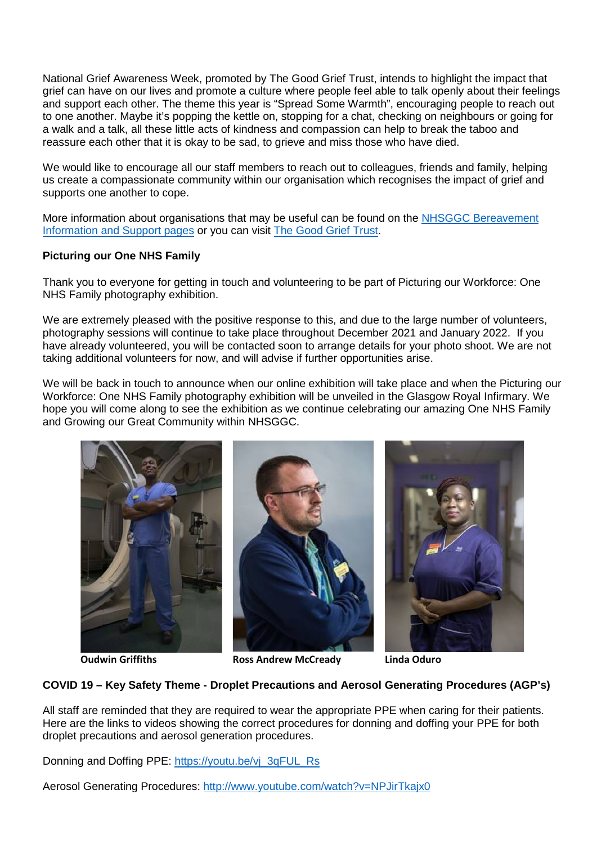National Grief Awareness Week, promoted by The Good Grief Trust, intends to highlight the impact that grief can have on our lives and promote a culture where people feel able to talk openly about their feelings and support each other. The theme this year is "Spread Some Warmth", encouraging people to reach out to one another. Maybe it's popping the kettle on, stopping for a chat, checking on neighbours or going for a walk and a talk, all these little acts of kindness and compassion can help to break the taboo and reassure each other that it is okay to be sad, to grieve and miss those who have died.

We would like to encourage all our staff members to reach out to colleagues, friends and family, helping us create a compassionate community within our organisation which recognises the impact of grief and supports one another to cope.

More information about organisations that may be useful can be found on the [NHSGGC Bereavement](https://www.nhsggc.org.uk/your-health/health-issues/covid-19-coronavirus/for-patients-the-public/local-support-services/bereavement-information-and-support/looking-after-yourself/)  [Information and Support pages](https://www.nhsggc.org.uk/your-health/health-issues/covid-19-coronavirus/for-patients-the-public/local-support-services/bereavement-information-and-support/looking-after-yourself/) or you can visit [The Good Grief Trust.](https://www.thegoodgrieftrust.org/)

# **Picturing our One NHS Family**

Thank you to everyone for getting in touch and volunteering to be part of Picturing our Workforce: One NHS Family photography exhibition.

We are extremely pleased with the positive response to this, and due to the large number of volunteers, photography sessions will continue to take place throughout December 2021 and January 2022. If you have already volunteered, you will be contacted soon to arrange details for your photo shoot. We are not taking additional volunteers for now, and will advise if further opportunities arise.

We will be back in touch to announce when our online exhibition will take place and when the Picturing our Workforce: One NHS Family photography exhibition will be unveiled in the Glasgow Royal Infirmary. We hope you will come along to see the exhibition as we continue celebrating our amazing One NHS Family and Growing our Great Community within NHSGGC.



**Oudwin Griffiths Ross Andrew McCready Linda Oduro**

# **COVID 19 – Key Safety Theme - Droplet Precautions and Aerosol Generating Procedures (AGP's)**

All staff are reminded that they are required to wear the appropriate PPE when caring for their patients. Here are the links to videos showing the correct procedures for donning and doffing your PPE for both droplet precautions and aerosol generation procedures.

Donning and Doffing PPE: [https://youtu.be/vj\\_3qFUL\\_Rs](https://youtu.be/vj_3qFUL_Rs)

Aerosol Generating Procedures:<http://www.youtube.com/watch?v=NPJirTkajx0>